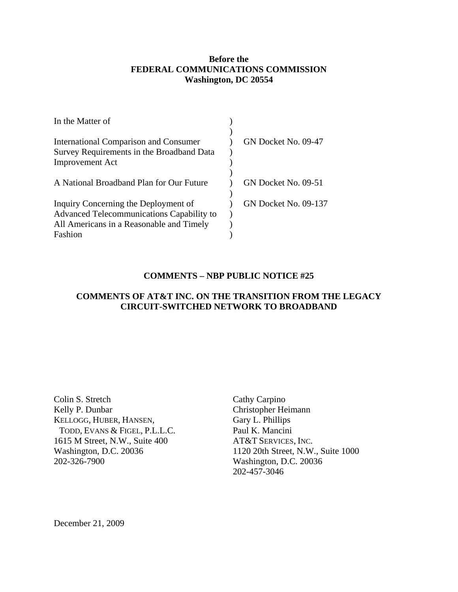### **Before the FEDERAL COMMUNICATIONS COMMISSION Washington, DC 20554**

| In the Matter of                             |                             |
|----------------------------------------------|-----------------------------|
|                                              |                             |
| <b>International Comparison and Consumer</b> | GN Docket No. 09-47         |
| Survey Requirements in the Broadband Data    |                             |
| <b>Improvement Act</b>                       |                             |
|                                              |                             |
| A National Broadband Plan for Our Future     | GN Docket No. 09-51         |
|                                              |                             |
| Inquiry Concerning the Deployment of         | <b>GN Docket No. 09-137</b> |
| Advanced Telecommunications Capability to    |                             |
| All Americans in a Reasonable and Timely     |                             |
| Fashion                                      |                             |

### **COMMENTS – NBP PUBLIC NOTICE #25**

# **COMMENTS OF AT&T INC. ON THE TRANSITION FROM THE LEGACY CIRCUIT-SWITCHED NETWORK TO BROADBAND**

Colin S. Stretch Kelly P. Dunbar KELLOGG, HUBER, HANSEN, TODD, EVANS & FIGEL, P.L.L.C. 1615 M Street, N.W., Suite 400 Washington, D.C. 20036 202-326-7900

Cathy Carpino Christopher Heimann Gary L. Phillips Paul K. Mancini AT&T SERVICES, INC. 1120 20th Street, N.W., Suite 1000 Washington, D.C. 20036 202-457-3046

December 21, 2009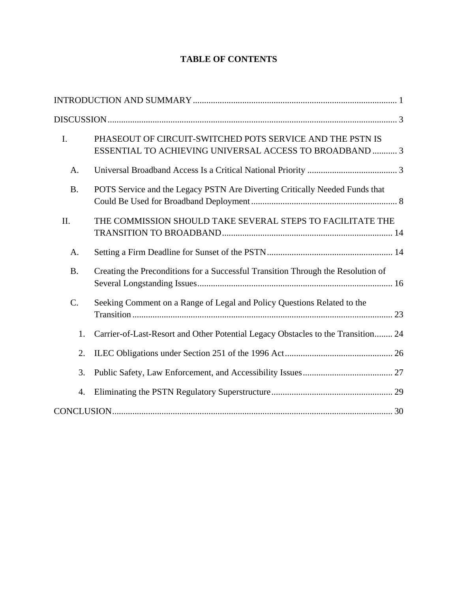# **TABLE OF CONTENTS**

| $\mathbf{I}$ . | PHASEOUT OF CIRCUIT-SWITCHED POTS SERVICE AND THE PSTN IS<br>ESSENTIAL TO ACHIEVING UNIVERSAL ACCESS TO BROADBAND  3 |
|----------------|----------------------------------------------------------------------------------------------------------------------|
| А.             |                                                                                                                      |
| <b>B.</b>      | POTS Service and the Legacy PSTN Are Diverting Critically Needed Funds that                                          |
| II.            | THE COMMISSION SHOULD TAKE SEVERAL STEPS TO FACILITATE THE                                                           |
| А.             |                                                                                                                      |
| <b>B.</b>      | Creating the Preconditions for a Successful Transition Through the Resolution of                                     |
| C.             | Seeking Comment on a Range of Legal and Policy Questions Related to the                                              |
| 1.             | Carrier-of-Last-Resort and Other Potential Legacy Obstacles to the Transition 24                                     |
| 2.             |                                                                                                                      |
| 3.             |                                                                                                                      |
| 4.             |                                                                                                                      |
|                |                                                                                                                      |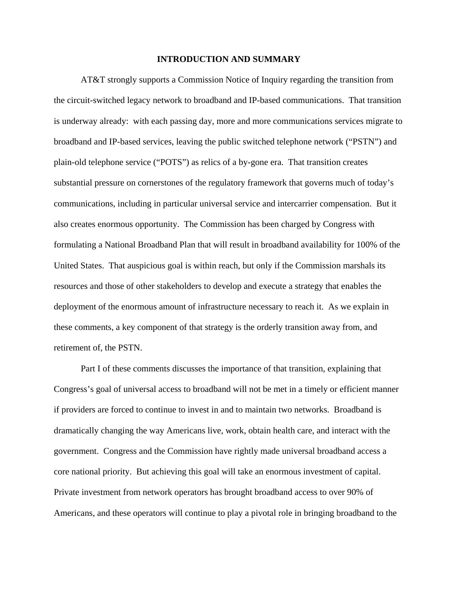#### **INTRODUCTION AND SUMMARY**

 AT&T strongly supports a Commission Notice of Inquiry regarding the transition from the circuit-switched legacy network to broadband and IP-based communications. That transition is underway already: with each passing day, more and more communications services migrate to broadband and IP-based services, leaving the public switched telephone network ("PSTN") and plain-old telephone service ("POTS") as relics of a by-gone era. That transition creates substantial pressure on cornerstones of the regulatory framework that governs much of today's communications, including in particular universal service and intercarrier compensation. But it also creates enormous opportunity. The Commission has been charged by Congress with formulating a National Broadband Plan that will result in broadband availability for 100% of the United States. That auspicious goal is within reach, but only if the Commission marshals its resources and those of other stakeholders to develop and execute a strategy that enables the deployment of the enormous amount of infrastructure necessary to reach it. As we explain in these comments, a key component of that strategy is the orderly transition away from, and retirement of, the PSTN.

Part I of these comments discusses the importance of that transition, explaining that Congress's goal of universal access to broadband will not be met in a timely or efficient manner if providers are forced to continue to invest in and to maintain two networks. Broadband is dramatically changing the way Americans live, work, obtain health care, and interact with the government. Congress and the Commission have rightly made universal broadband access a core national priority. But achieving this goal will take an enormous investment of capital. Private investment from network operators has brought broadband access to over 90% of Americans, and these operators will continue to play a pivotal role in bringing broadband to the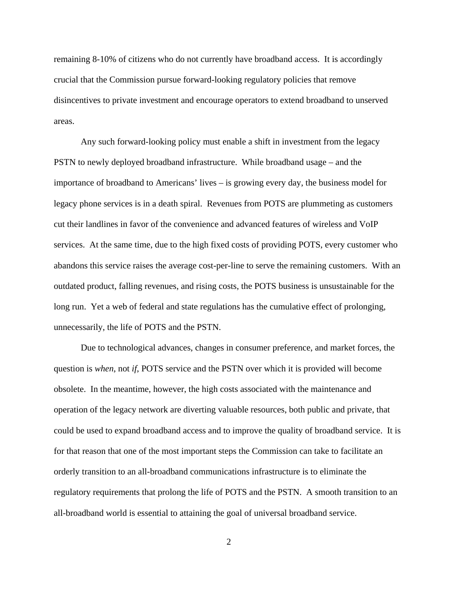remaining 8-10% of citizens who do not currently have broadband access. It is accordingly crucial that the Commission pursue forward-looking regulatory policies that remove disincentives to private investment and encourage operators to extend broadband to unserved areas.

Any such forward-looking policy must enable a shift in investment from the legacy PSTN to newly deployed broadband infrastructure. While broadband usage – and the importance of broadband to Americans' lives – is growing every day, the business model for legacy phone services is in a death spiral. Revenues from POTS are plummeting as customers cut their landlines in favor of the convenience and advanced features of wireless and VoIP services. At the same time, due to the high fixed costs of providing POTS, every customer who abandons this service raises the average cost-per-line to serve the remaining customers. With an outdated product, falling revenues, and rising costs, the POTS business is unsustainable for the long run. Yet a web of federal and state regulations has the cumulative effect of prolonging, unnecessarily, the life of POTS and the PSTN.

Due to technological advances, changes in consumer preference, and market forces, the question is *when*, not *if*, POTS service and the PSTN over which it is provided will become obsolete. In the meantime, however, the high costs associated with the maintenance and operation of the legacy network are diverting valuable resources, both public and private, that could be used to expand broadband access and to improve the quality of broadband service. It is for that reason that one of the most important steps the Commission can take to facilitate an orderly transition to an all-broadband communications infrastructure is to eliminate the regulatory requirements that prolong the life of POTS and the PSTN. A smooth transition to an all-broadband world is essential to attaining the goal of universal broadband service.

2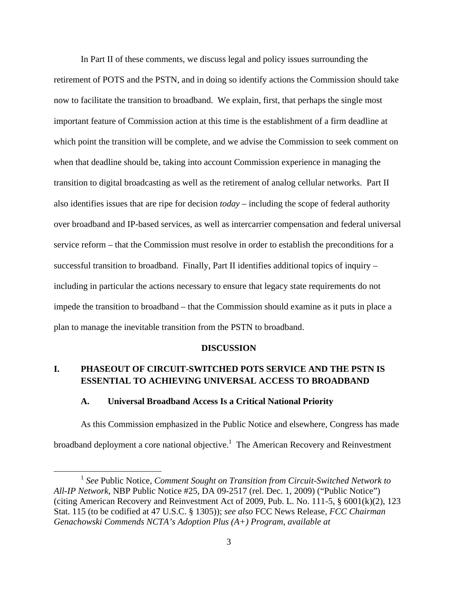In Part II of these comments, we discuss legal and policy issues surrounding the retirement of POTS and the PSTN, and in doing so identify actions the Commission should take now to facilitate the transition to broadband. We explain, first, that perhaps the single most important feature of Commission action at this time is the establishment of a firm deadline at which point the transition will be complete, and we advise the Commission to seek comment on when that deadline should be, taking into account Commission experience in managing the transition to digital broadcasting as well as the retirement of analog cellular networks. Part II also identifies issues that are ripe for decision *today* – including the scope of federal authority over broadband and IP-based services, as well as intercarrier compensation and federal universal service reform – that the Commission must resolve in order to establish the preconditions for a successful transition to broadband. Finally, Part II identifies additional topics of inquiry – including in particular the actions necessary to ensure that legacy state requirements do not impede the transition to broadband – that the Commission should examine as it puts in place a plan to manage the inevitable transition from the PSTN to broadband.

#### **DISCUSSION**

## **I. PHASEOUT OF CIRCUIT-SWITCHED POTS SERVICE AND THE PSTN IS ESSENTIAL TO ACHIEVING UNIVERSAL ACCESS TO BROADBAND**

#### **A. Universal Broadband Access Is a Critical National Priority**

 As this Commission emphasized in the Public Notice and elsewhere, Congress has made broadband deployment a core national objective.<sup>1</sup> The American Recovery and Reinvestment

 <sup>1</sup> *See* Public Notice, *Comment Sought on Transition from Circuit-Switched Network to All-IP Network*, NBP Public Notice #25, DA 09-2517 (rel. Dec. 1, 2009) ("Public Notice") (citing American Recovery and Reinvestment Act of 2009, Pub. L. No. 111-5, § 6001(k)(2), 123 Stat. 115 (to be codified at 47 U.S.C. § 1305)); *see also* FCC News Release, *FCC Chairman Genachowski Commends NCTA's Adoption Plus (A+) Program*, *available at*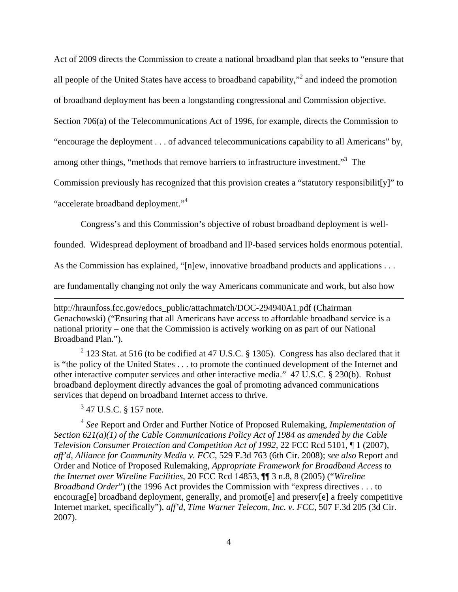Act of 2009 directs the Commission to create a national broadband plan that seeks to "ensure that all people of the United States have access to broadband capability,"<sup>2</sup> and indeed the promotion

of broadband deployment has been a longstanding congressional and Commission objective.

Section 706(a) of the Telecommunications Act of 1996, for example, directs the Commission to

"encourage the deployment . . . of advanced telecommunications capability to all Americans" by,

among other things, "methods that remove barriers to infrastructure investment."<sup>3</sup> The

Commission previously has recognized that this provision creates a "statutory responsibilit[y]" to

"accelerate broadband deployment."<sup>4</sup>

Congress's and this Commission's objective of robust broadband deployment is well-

founded. Widespread deployment of broadband and IP-based services holds enormous potential.

As the Commission has explained, "[n]ew, innovative broadband products and applications . . .

are fundamentally changing not only the way Americans communicate and work, but also how

<u> 1989 - Johann Stein, marwolaethau a gweledydd a ganlad y ganlad y ganlad y ganlad y ganlad y ganlad y ganlad</u>

http://hraunfoss.fcc.gov/edocs\_public/attachmatch/DOC-294940A1.pdf (Chairman Genachowski) ("Ensuring that all Americans have access to affordable broadband service is a national priority – one that the Commission is actively working on as part of our National Broadband Plan.").

<sup>2</sup> 123 Stat. at 516 (to be codified at 47 U.S.C. § 1305). Congress has also declared that it is "the policy of the United States . . . to promote the continued development of the Internet and other interactive computer services and other interactive media." 47 U.S.C. § 230(b). Robust broadband deployment directly advances the goal of promoting advanced communications services that depend on broadband Internet access to thrive.

 $3$  47 U.S.C. § 157 note.

<sup>4</sup> *See* Report and Order and Further Notice of Proposed Rulemaking, *Implementation of Section 621(a)(1) of the Cable Communications Policy Act of 1984 as amended by the Cable Television Consumer Protection and Competition Act of 1992*, 22 FCC Rcd 5101, ¶ 1 (2007), *aff'd, Alliance for Community Media v. FCC*, 529 F.3d 763 (6th Cir. 2008); *see also* Report and Order and Notice of Proposed Rulemaking, *Appropriate Framework for Broadband Access to the Internet over Wireline Facilities*, 20 FCC Rcd 14853, ¶¶ 3 n.8, 8 (2005) ("*Wireline Broadband Order*") (the 1996 Act provides the Commission with "express directives . . . to encourag[e] broadband deployment, generally, and promot[e] and preserv[e] a freely competitive Internet market, specifically"), *aff'd*, *Time Warner Telecom, Inc. v. FCC*, 507 F.3d 205 (3d Cir. 2007).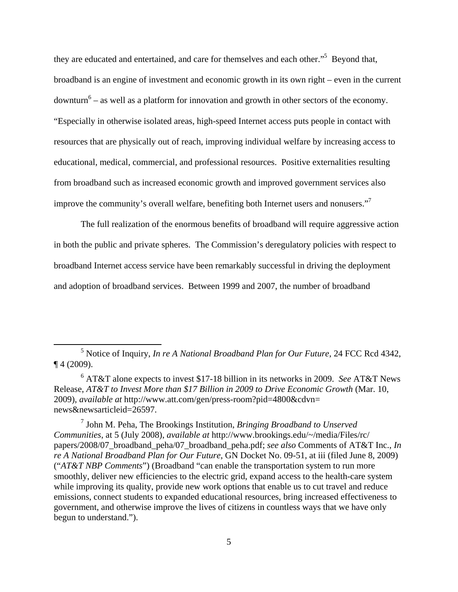they are educated and entertained, and care for themselves and each other."<sup>5</sup> Beyond that, broadband is an engine of investment and economic growth in its own right – even in the current downturn<sup>6</sup> – as well as a platform for innovation and growth in other sectors of the economy. "Especially in otherwise isolated areas, high-speed Internet access puts people in contact with resources that are physically out of reach, improving individual welfare by increasing access to educational, medical, commercial, and professional resources. Positive externalities resulting from broadband such as increased economic growth and improved government services also improve the community's overall welfare, benefiting both Internet users and nonusers."

 The full realization of the enormous benefits of broadband will require aggressive action in both the public and private spheres. The Commission's deregulatory policies with respect to broadband Internet access service have been remarkably successful in driving the deployment and adoption of broadband services. Between 1999 and 2007, the number of broadband

 <sup>5</sup> Notice of Inquiry, *In re A National Broadband Plan for Our Future*, 24 FCC Rcd 4342,  $\P$  4 (2009).

<sup>6</sup> AT&T alone expects to invest \$17-18 billion in its networks in 2009. *See* AT&T News Release, *AT&T to Invest More than \$17 Billion in 2009 to Drive Economic Growth* (Mar. 10, 2009), *available at* http://www.att.com/gen/press-room?pid=4800&cdvn= news&newsarticleid=26597.

<sup>7</sup> John M. Peha, The Brookings Institution, *Bringing Broadband to Unserved Communities*, at 5 (July 2008), *available at* http://www.brookings.edu/~/media/Files/rc/ papers/2008/07\_broadband\_peha/07\_broadband\_peha.pdf; *see also* Comments of AT&T Inc., *In re A National Broadband Plan for Our Future*, GN Docket No. 09-51, at iii (filed June 8, 2009) ("*AT&T NBP Comments*") (Broadband "can enable the transportation system to run more smoothly, deliver new efficiencies to the electric grid, expand access to the health-care system while improving its quality, provide new work options that enable us to cut travel and reduce emissions, connect students to expanded educational resources, bring increased effectiveness to government, and otherwise improve the lives of citizens in countless ways that we have only begun to understand.").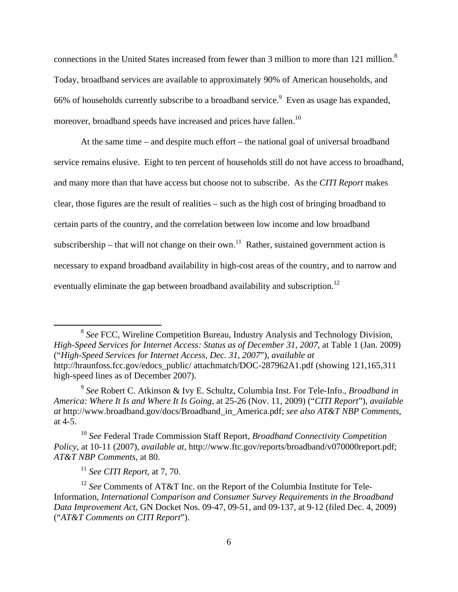connections in the United States increased from fewer than 3 million to more than 121 million.<sup>8</sup> Today, broadband services are available to approximately 90% of American households, and 66% of households currently subscribe to a broadband service.<sup>9</sup> Even as usage has expanded, moreover, broadband speeds have increased and prices have fallen.<sup>10</sup>

At the same time – and despite much effort – the national goal of universal broadband service remains elusive. Eight to ten percent of households still do not have access to broadband, and many more than that have access but choose not to subscribe. As the *CITI Report* makes clear, those figures are the result of realities – such as the high cost of bringing broadband to certain parts of the country, and the correlation between low income and low broadband subscribership – that will not change on their own.<sup>11</sup> Rather, sustained government action is necessary to expand broadband availability in high-cost areas of the country, and to narrow and eventually eliminate the gap between broadband availability and subscription.<sup>12</sup>

 <sup>8</sup> *See* FCC, Wireline Competition Bureau, Industry Analysis and Technology Division, *High-Speed Services for Internet Access: Status as of December 31, 2007*, at Table 1 (Jan. 2009) ("*High-Speed Services for Internet Access, Dec. 31, 2007*"), *available at*  http://hraunfoss.fcc.gov/edocs\_public/ attachmatch/DOC-287962A1.pdf (showing 121,165,311 high-speed lines as of December 2007).

<sup>9</sup> *See* Robert C. Atkinson & Ivy E. Schultz, Columbia Inst. For Tele-Info., *Broadband in America: Where It Is and Where It Is Going*, at 25-26 (Nov. 11, 2009) ("*CITI Report*"), *available at* http://www.broadband.gov/docs/Broadband\_in\_America.pdf; *see also AT&T NBP Comments*, at 4-5.

<sup>10</sup> *See* Federal Trade Commission Staff Report, *Broadband Connectivity Competition Policy*, at 10-11 (2007), *available at*, http://www.ftc.gov/reports/broadband/v070000report.pdf; *AT&T NBP Comments*, at 80.

<sup>11</sup> *See CITI Report*, at 7, 70.

<sup>12</sup> *See* Comments of AT&T Inc. on the Report of the Columbia Institute for Tele-Information, *International Comparison and Consumer Survey Requirements in the Broadband Data Improvement Act*, GN Docket Nos. 09-47, 09-51, and 09-137, at 9-12 (filed Dec. 4, 2009) ("*AT&T Comments on CITI Report*").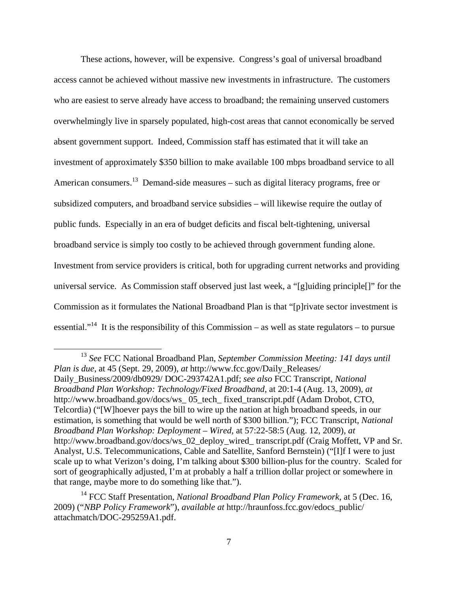These actions, however, will be expensive. Congress's goal of universal broadband access cannot be achieved without massive new investments in infrastructure. The customers who are easiest to serve already have access to broadband; the remaining unserved customers overwhelmingly live in sparsely populated, high-cost areas that cannot economically be served absent government support. Indeed, Commission staff has estimated that it will take an investment of approximately \$350 billion to make available 100 mbps broadband service to all American consumers.<sup>13</sup> Demand-side measures – such as digital literacy programs, free or subsidized computers, and broadband service subsidies – will likewise require the outlay of public funds. Especially in an era of budget deficits and fiscal belt-tightening, universal broadband service is simply too costly to be achieved through government funding alone. Investment from service providers is critical, both for upgrading current networks and providing universal service. As Commission staff observed just last week, a "[g]uiding principle[]" for the Commission as it formulates the National Broadband Plan is that "[p]rivate sector investment is essential."<sup>14</sup> It is the responsibility of this Commission – as well as state regulators – to pursue

 <sup>13</sup> *See* FCC National Broadband Plan, *September Commission Meeting: 141 days until Plan is due*, at 45 (Sept. 29, 2009), *at* http://www.fcc.gov/Daily\_Releases/ Daily\_Business/2009/db0929/ DOC-293742A1.pdf; *see also* FCC Transcript, *National Broadband Plan Workshop: Technology/Fixed Broadband*, at 20:1-4 (Aug. 13, 2009), *at* http://www.broadband.gov/docs/ws 05 tech fixed transcript.pdf (Adam Drobot, CTO, Telcordia) ("[W]hoever pays the bill to wire up the nation at high broadband speeds, in our estimation, is something that would be well north of \$300 billion."); FCC Transcript, *National Broadband Plan Workshop: Deployment – Wired*, at 57:22-58:5 (Aug. 12, 2009), *at* http://www.broadband.gov/docs/ws\_02\_deploy\_wired\_ transcript.pdf (Craig Moffett, VP and Sr. Analyst, U.S. Telecommunications, Cable and Satellite, Sanford Bernstein) ("[I]f I were to just scale up to what Verizon's doing, I'm talking about \$300 billion-plus for the country. Scaled for sort of geographically adjusted, I'm at probably a half a trillion dollar project or somewhere in that range, maybe more to do something like that.").

<sup>&</sup>lt;sup>14</sup> FCC Staff Presentation, *National Broadband Plan Policy Framework*, at 5 (Dec. 16, 2009) ("*NBP Policy Framework*"), *available at* http://hraunfoss.fcc.gov/edocs\_public/ attachmatch/DOC-295259A1.pdf.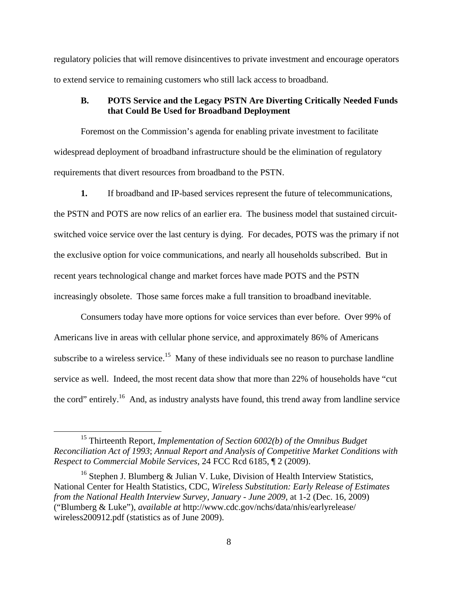regulatory policies that will remove disincentives to private investment and encourage operators to extend service to remaining customers who still lack access to broadband.

### **B. POTS Service and the Legacy PSTN Are Diverting Critically Needed Funds that Could Be Used for Broadband Deployment**

 Foremost on the Commission's agenda for enabling private investment to facilitate widespread deployment of broadband infrastructure should be the elimination of regulatory requirements that divert resources from broadband to the PSTN.

**1.** If broadband and IP-based services represent the future of telecommunications, the PSTN and POTS are now relics of an earlier era. The business model that sustained circuitswitched voice service over the last century is dying. For decades, POTS was the primary if not the exclusive option for voice communications, and nearly all households subscribed. But in recent years technological change and market forces have made POTS and the PSTN increasingly obsolete. Those same forces make a full transition to broadband inevitable.

 Consumers today have more options for voice services than ever before. Over 99% of Americans live in areas with cellular phone service, and approximately 86% of Americans subscribe to a wireless service.<sup>15</sup> Many of these individuals see no reason to purchase landline service as well. Indeed, the most recent data show that more than 22% of households have "cut the cord" entirely.16 And, as industry analysts have found, this trend away from landline service

<sup>&</sup>lt;sup>15</sup> Thirteenth Report, *Implementation of Section 6002(b) of the Omnibus Budget Reconciliation Act of 1993*; *Annual Report and Analysis of Competitive Market Conditions with Respect to Commercial Mobile Services*, 24 FCC Rcd 6185, ¶ 2 (2009).

<sup>&</sup>lt;sup>16</sup> Stephen J. Blumberg & Julian V. Luke, Division of Health Interview Statistics, National Center for Health Statistics, CDC, *Wireless Substitution: Early Release of Estimates from the National Health Interview Survey, January - June 2009*, at 1-2 (Dec. 16, 2009) ("Blumberg & Luke"), *available at* http://www.cdc.gov/nchs/data/nhis/earlyrelease/ wireless200912.pdf (statistics as of June 2009).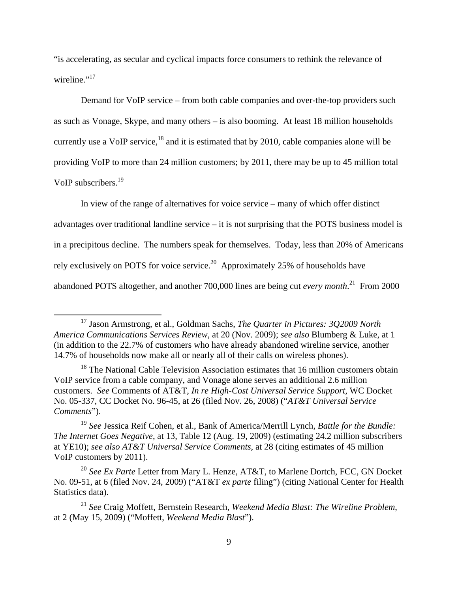"is accelerating, as secular and cyclical impacts force consumers to rethink the relevance of wireline."<sup>17</sup>

Demand for VoIP service – from both cable companies and over-the-top providers such as such as Vonage, Skype, and many others – is also booming. At least 18 million households currently use a VoIP service, $18$  and it is estimated that by 2010, cable companies alone will be providing VoIP to more than 24 million customers; by 2011, there may be up to 45 million total VoIP subscribers.19

 In view of the range of alternatives for voice service – many of which offer distinct advantages over traditional landline service – it is not surprising that the POTS business model is in a precipitous decline. The numbers speak for themselves. Today, less than 20% of Americans rely exclusively on POTS for voice service.<sup>20</sup> Approximately 25% of households have abandoned POTS altogether, and another 700,000 lines are being cut *every month*. 21 From 2000

 17 Jason Armstrong, et al., Goldman Sachs, *The Quarter in Pictures: 3Q2009 North America Communications Services Review*, at 20 (Nov. 2009); *see also* Blumberg & Luke, at 1 (in addition to the 22.7% of customers who have already abandoned wireline service, another 14.7% of households now make all or nearly all of their calls on wireless phones).

<sup>&</sup>lt;sup>18</sup> The National Cable Television Association estimates that 16 million customers obtain VoIP service from a cable company, and Vonage alone serves an additional 2.6 million customers. *See* Comments of AT&T, *In re High-Cost Universal Service Support*, WC Docket No. 05-337, CC Docket No. 96-45, at 26 (filed Nov. 26, 2008) ("*AT&T Universal Service Comments*").

<sup>19</sup> *See* Jessica Reif Cohen, et al., Bank of America/Merrill Lynch, *Battle for the Bundle: The Internet Goes Negative*, at 13, Table 12 (Aug. 19, 2009) (estimating 24.2 million subscribers at YE10); *see also AT&T Universal Service Comments*, at 28 (citing estimates of 45 million VoIP customers by 2011).

<sup>20</sup> *See Ex Parte* Letter from Mary L. Henze, AT&T, to Marlene Dortch, FCC, GN Docket No. 09-51, at 6 (filed Nov. 24, 2009) ("AT&T *ex parte* filing") (citing National Center for Health Statistics data).

<sup>21</sup> *See* Craig Moffett, Bernstein Research, *Weekend Media Blast: The Wireline Problem*, at 2 (May 15, 2009) ("Moffett, *Weekend Media Blast*").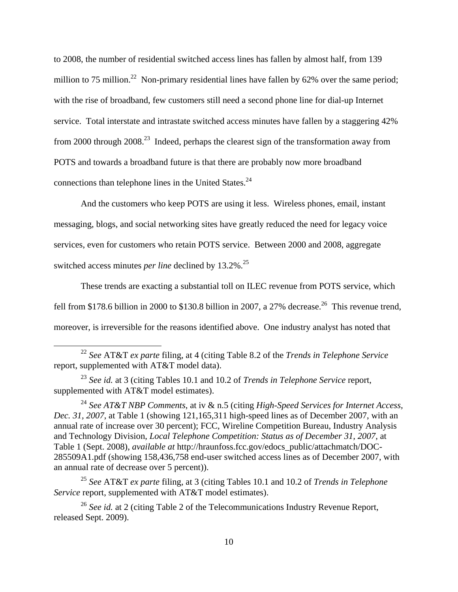to 2008, the number of residential switched access lines has fallen by almost half, from 139 million to 75 million.<sup>22</sup> Non-primary residential lines have fallen by 62% over the same period; with the rise of broadband, few customers still need a second phone line for dial-up Internet service. Total interstate and intrastate switched access minutes have fallen by a staggering 42% from 2000 through  $2008<sup>23</sup>$  Indeed, perhaps the clearest sign of the transformation away from POTS and towards a broadband future is that there are probably now more broadband connections than telephone lines in the United States. $24$ 

And the customers who keep POTS are using it less. Wireless phones, email, instant messaging, blogs, and social networking sites have greatly reduced the need for legacy voice services, even for customers who retain POTS service. Between 2000 and 2008, aggregate switched access minutes *per line* declined by 13.2%.<sup>25</sup>

These trends are exacting a substantial toll on ILEC revenue from POTS service, which fell from \$178.6 billion in 2000 to \$130.8 billion in 2007, a 27% decrease.<sup>26</sup> This revenue trend, moreover, is irreversible for the reasons identified above. One industry analyst has noted that

<sup>25</sup> *See* AT&T *ex parte* filing, at 3 (citing Tables 10.1 and 10.2 of *Trends in Telephone Service* report, supplemented with AT&T model estimates).

<sup>26</sup> *See id.* at 2 (citing Table 2 of the Telecommunications Industry Revenue Report, released Sept. 2009).

 <sup>22</sup> *See* AT&T *ex parte* filing, at 4 (citing Table 8.2 of the *Trends in Telephone Service* report, supplemented with AT&T model data).

<sup>23</sup> *See id.* at 3 (citing Tables 10.1 and 10.2 of *Trends in Telephone Service* report, supplemented with AT&T model estimates).

<sup>24</sup> *See AT&T NBP Comments*, at iv & n.5 (citing *High-Speed Services for Internet Access, Dec. 31, 2007*, at Table 1 (showing 121,165,311 high-speed lines as of December 2007, with an annual rate of increase over 30 percent); FCC, Wireline Competition Bureau, Industry Analysis and Technology Division, *Local Telephone Competition: Status as of December 31, 2007*, at Table 1 (Sept. 2008), *available at* http://hraunfoss.fcc.gov/edocs\_public/attachmatch/DOC-285509A1.pdf (showing 158,436,758 end-user switched access lines as of December 2007, with an annual rate of decrease over 5 percent)).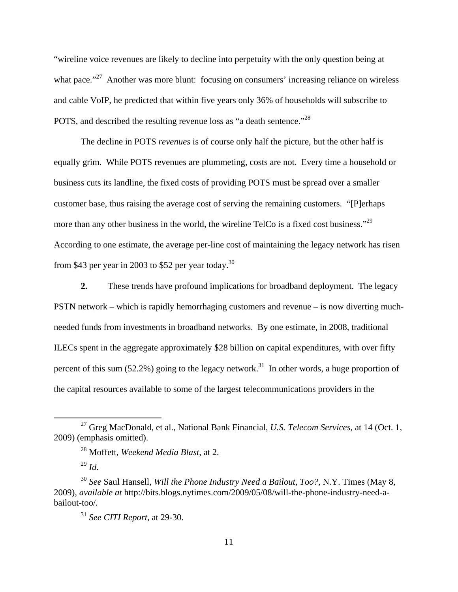"wireline voice revenues are likely to decline into perpetuity with the only question being at what pace."<sup>27</sup> Another was more blunt: focusing on consumers' increasing reliance on wireless and cable VoIP, he predicted that within five years only 36% of households will subscribe to POTS, and described the resulting revenue loss as "a death sentence."28

 The decline in POTS *revenues* is of course only half the picture, but the other half is equally grim. While POTS revenues are plummeting, costs are not. Every time a household or business cuts its landline, the fixed costs of providing POTS must be spread over a smaller customer base, thus raising the average cost of serving the remaining customers. "[P]erhaps more than any other business in the world, the wireline TelCo is a fixed cost business."<sup>29</sup> According to one estimate, the average per-line cost of maintaining the legacy network has risen from \$43 per year in 2003 to \$52 per year today.<sup>30</sup>

**2.** These trends have profound implications for broadband deployment. The legacy PSTN network – which is rapidly hemorrhaging customers and revenue – is now diverting muchneeded funds from investments in broadband networks. By one estimate, in 2008, traditional ILECs spent in the aggregate approximately \$28 billion on capital expenditures, with over fifty percent of this sum (52.2%) going to the legacy network.<sup>31</sup> In other words, a huge proportion of the capital resources available to some of the largest telecommunications providers in the

<sup>29</sup> *Id*.

 27 Greg MacDonald, et al., National Bank Financial, *U.S. Telecom Services*, at 14 (Oct. 1, 2009) (emphasis omitted).

<sup>28</sup> Moffett, *Weekend Media Blast*, at 2.

<sup>30</sup> *See* Saul Hansell, *Will the Phone Industry Need a Bailout, Too?*, N.Y. Times (May 8, 2009), *available at* http://bits.blogs.nytimes.com/2009/05/08/will-the-phone-industry-need-abailout-too/*.*

<sup>31</sup> *See CITI Report*, at 29-30.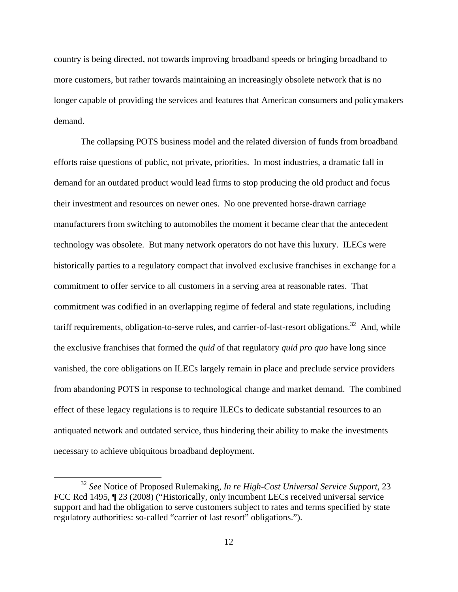country is being directed, not towards improving broadband speeds or bringing broadband to more customers, but rather towards maintaining an increasingly obsolete network that is no longer capable of providing the services and features that American consumers and policymakers demand.

 The collapsing POTS business model and the related diversion of funds from broadband efforts raise questions of public, not private, priorities. In most industries, a dramatic fall in demand for an outdated product would lead firms to stop producing the old product and focus their investment and resources on newer ones. No one prevented horse-drawn carriage manufacturers from switching to automobiles the moment it became clear that the antecedent technology was obsolete. But many network operators do not have this luxury. ILECs were historically parties to a regulatory compact that involved exclusive franchises in exchange for a commitment to offer service to all customers in a serving area at reasonable rates. That commitment was codified in an overlapping regime of federal and state regulations, including tariff requirements, obligation-to-serve rules, and carrier-of-last-resort obligations.<sup>32</sup> And, while the exclusive franchises that formed the *quid* of that regulatory *quid pro quo* have long since vanished, the core obligations on ILECs largely remain in place and preclude service providers from abandoning POTS in response to technological change and market demand. The combined effect of these legacy regulations is to require ILECs to dedicate substantial resources to an antiquated network and outdated service, thus hindering their ability to make the investments necessary to achieve ubiquitous broadband deployment.

 <sup>32</sup> *See* Notice of Proposed Rulemaking, *In re High-Cost Universal Service Support*, 23 FCC Rcd 1495, ¶ 23 (2008) ("Historically, only incumbent LECs received universal service support and had the obligation to serve customers subject to rates and terms specified by state regulatory authorities: so-called "carrier of last resort" obligations.").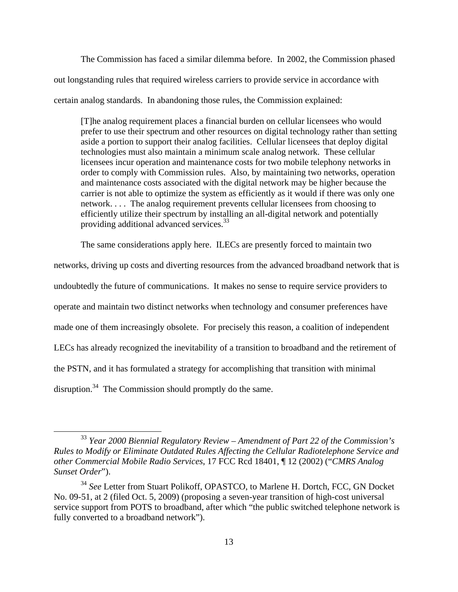The Commission has faced a similar dilemma before. In 2002, the Commission phased out longstanding rules that required wireless carriers to provide service in accordance with certain analog standards. In abandoning those rules, the Commission explained:

[T]he analog requirement places a financial burden on cellular licensees who would prefer to use their spectrum and other resources on digital technology rather than setting aside a portion to support their analog facilities. Cellular licensees that deploy digital technologies must also maintain a minimum scale analog network. These cellular licensees incur operation and maintenance costs for two mobile telephony networks in order to comply with Commission rules. Also, by maintaining two networks, operation and maintenance costs associated with the digital network may be higher because the carrier is not able to optimize the system as efficiently as it would if there was only one network. . . . The analog requirement prevents cellular licensees from choosing to efficiently utilize their spectrum by installing an all-digital network and potentially providing additional advanced services.33

The same considerations apply here. ILECs are presently forced to maintain two

networks, driving up costs and diverting resources from the advanced broadband network that is undoubtedly the future of communications. It makes no sense to require service providers to operate and maintain two distinct networks when technology and consumer preferences have made one of them increasingly obsolete. For precisely this reason, a coalition of independent LECs has already recognized the inevitability of a transition to broadband and the retirement of the PSTN, and it has formulated a strategy for accomplishing that transition with minimal disruption.<sup>34</sup> The Commission should promptly do the same.

 <sup>33</sup> *Year 2000 Biennial Regulatory Review – Amendment of Part 22 of the Commission's Rules to Modify or Eliminate Outdated Rules Affecting the Cellular Radiotelephone Service and other Commercial Mobile Radio Services*, 17 FCC Rcd 18401, ¶ 12 (2002) ("*CMRS Analog Sunset Order*").

<sup>34</sup> *See* Letter from Stuart Polikoff, OPASTCO, to Marlene H. Dortch, FCC, GN Docket No. 09-51, at 2 (filed Oct. 5, 2009) (proposing a seven-year transition of high-cost universal service support from POTS to broadband, after which "the public switched telephone network is fully converted to a broadband network").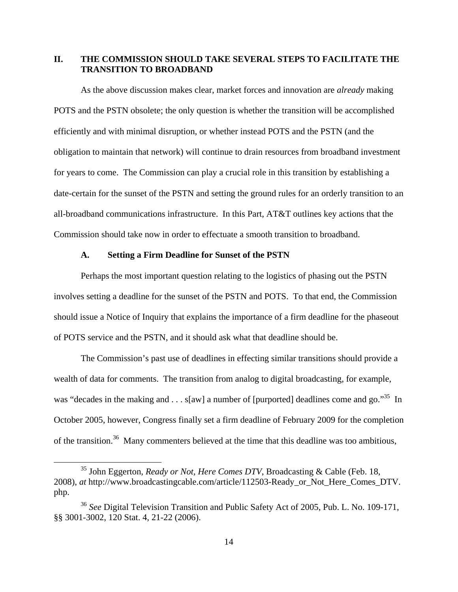### **II. THE COMMISSION SHOULD TAKE SEVERAL STEPS TO FACILITATE THE TRANSITION TO BROADBAND**

 As the above discussion makes clear, market forces and innovation are *already* making POTS and the PSTN obsolete; the only question is whether the transition will be accomplished efficiently and with minimal disruption, or whether instead POTS and the PSTN (and the obligation to maintain that network) will continue to drain resources from broadband investment for years to come. The Commission can play a crucial role in this transition by establishing a date-certain for the sunset of the PSTN and setting the ground rules for an orderly transition to an all-broadband communications infrastructure. In this Part, AT&T outlines key actions that the Commission should take now in order to effectuate a smooth transition to broadband.

#### **A. Setting a Firm Deadline for Sunset of the PSTN**

Perhaps the most important question relating to the logistics of phasing out the PSTN involves setting a deadline for the sunset of the PSTN and POTS. To that end, the Commission should issue a Notice of Inquiry that explains the importance of a firm deadline for the phaseout of POTS service and the PSTN, and it should ask what that deadline should be.

The Commission's past use of deadlines in effecting similar transitions should provide a wealth of data for comments. The transition from analog to digital broadcasting, for example, was "decades in the making and  $\dots$  s[aw] a number of [purported] deadlines come and go."<sup>35</sup> In October 2005, however, Congress finally set a firm deadline of February 2009 for the completion of the transition.36 Many commenters believed at the time that this deadline was too ambitious,

 35 John Eggerton, *Ready or Not, Here Comes DTV*, Broadcasting & Cable (Feb. 18, 2008), *at* http://www.broadcastingcable.com/article/112503-Ready\_or\_Not\_Here\_Comes\_DTV. php.

<sup>36</sup> *See* Digital Television Transition and Public Safety Act of 2005, Pub. L. No. 109-171, §§ 3001-3002, 120 Stat. 4, 21-22 (2006).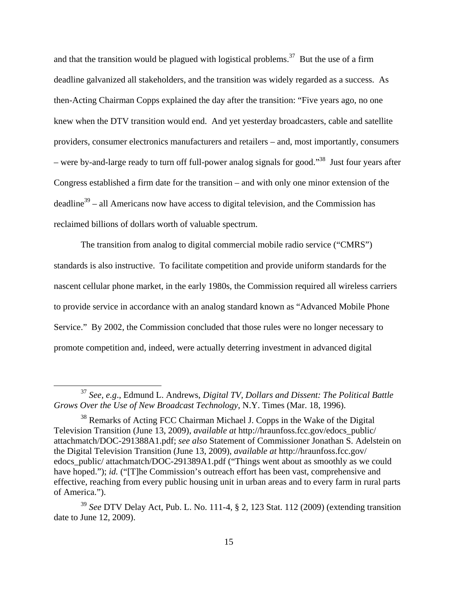and that the transition would be plagued with logistical problems.<sup>37</sup> But the use of a firm deadline galvanized all stakeholders, and the transition was widely regarded as a success. As then-Acting Chairman Copps explained the day after the transition: "Five years ago, no one knew when the DTV transition would end. And yet yesterday broadcasters, cable and satellite providers, consumer electronics manufacturers and retailers – and, most importantly, consumers – were by-and-large ready to turn off full-power analog signals for good."<sup>38</sup> Just four years after Congress established a firm date for the transition – and with only one minor extension of the  $deadline<sup>39</sup> - all Americans now have access to digital television, and the Commission has$ reclaimed billions of dollars worth of valuable spectrum.

The transition from analog to digital commercial mobile radio service ("CMRS") standards is also instructive. To facilitate competition and provide uniform standards for the nascent cellular phone market, in the early 1980s, the Commission required all wireless carriers to provide service in accordance with an analog standard known as "Advanced Mobile Phone Service." By 2002, the Commission concluded that those rules were no longer necessary to promote competition and, indeed, were actually deterring investment in advanced digital

 <sup>37</sup> *See, e.g*., Edmund L. Andrews, *Digital TV, Dollars and Dissent: The Political Battle Grows Over the Use of New Broadcast Technology*, N.Y. Times (Mar. 18, 1996).

<sup>38</sup> Remarks of Acting FCC Chairman Michael J. Copps in the Wake of the Digital Television Transition (June 13, 2009), *available at* http://hraunfoss.fcc.gov/edocs\_public/ attachmatch/DOC-291388A1.pdf; *see also* Statement of Commissioner Jonathan S. Adelstein on the Digital Television Transition (June 13, 2009), *available at* http://hraunfoss.fcc.gov/ edocs\_public/ attachmatch/DOC-291389A1.pdf ("Things went about as smoothly as we could have hoped."); *id.* ("[T]he Commission's outreach effort has been vast, comprehensive and effective, reaching from every public housing unit in urban areas and to every farm in rural parts of America.").

<sup>39</sup> *See* DTV Delay Act, Pub. L. No. 111-4, § 2, 123 Stat. 112 (2009) (extending transition date to June 12, 2009).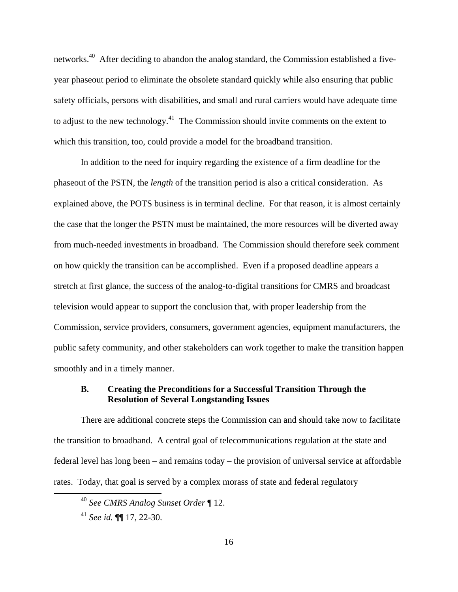networks.40 After deciding to abandon the analog standard, the Commission established a fiveyear phaseout period to eliminate the obsolete standard quickly while also ensuring that public safety officials, persons with disabilities, and small and rural carriers would have adequate time to adjust to the new technology.<sup>41</sup> The Commission should invite comments on the extent to which this transition, too, could provide a model for the broadband transition.

In addition to the need for inquiry regarding the existence of a firm deadline for the phaseout of the PSTN, the *length* of the transition period is also a critical consideration. As explained above, the POTS business is in terminal decline. For that reason, it is almost certainly the case that the longer the PSTN must be maintained, the more resources will be diverted away from much-needed investments in broadband. The Commission should therefore seek comment on how quickly the transition can be accomplished. Even if a proposed deadline appears a stretch at first glance, the success of the analog-to-digital transitions for CMRS and broadcast television would appear to support the conclusion that, with proper leadership from the Commission, service providers, consumers, government agencies, equipment manufacturers, the public safety community, and other stakeholders can work together to make the transition happen smoothly and in a timely manner.

#### **B. Creating the Preconditions for a Successful Transition Through the Resolution of Several Longstanding Issues**

There are additional concrete steps the Commission can and should take now to facilitate the transition to broadband. A central goal of telecommunications regulation at the state and federal level has long been – and remains today – the provision of universal service at affordable rates. Today, that goal is served by a complex morass of state and federal regulatory

 <sup>40</sup> *See CMRS Analog Sunset Order* ¶ 12.

<sup>41</sup> *See id.* ¶¶ 17, 22-30.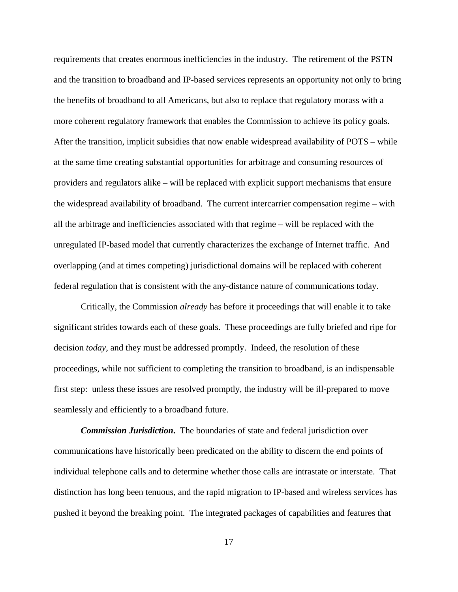requirements that creates enormous inefficiencies in the industry. The retirement of the PSTN and the transition to broadband and IP-based services represents an opportunity not only to bring the benefits of broadband to all Americans, but also to replace that regulatory morass with a more coherent regulatory framework that enables the Commission to achieve its policy goals. After the transition, implicit subsidies that now enable widespread availability of POTS – while at the same time creating substantial opportunities for arbitrage and consuming resources of providers and regulators alike – will be replaced with explicit support mechanisms that ensure the widespread availability of broadband. The current intercarrier compensation regime – with all the arbitrage and inefficiencies associated with that regime – will be replaced with the unregulated IP-based model that currently characterizes the exchange of Internet traffic. And overlapping (and at times competing) jurisdictional domains will be replaced with coherent federal regulation that is consistent with the any-distance nature of communications today.

Critically, the Commission *already* has before it proceedings that will enable it to take significant strides towards each of these goals. These proceedings are fully briefed and ripe for decision *today*, and they must be addressed promptly. Indeed, the resolution of these proceedings, while not sufficient to completing the transition to broadband, is an indispensable first step: unless these issues are resolved promptly, the industry will be ill-prepared to move seamlessly and efficiently to a broadband future.

*Commission Jurisdiction***.** The boundaries of state and federal jurisdiction over communications have historically been predicated on the ability to discern the end points of individual telephone calls and to determine whether those calls are intrastate or interstate. That distinction has long been tenuous, and the rapid migration to IP-based and wireless services has pushed it beyond the breaking point. The integrated packages of capabilities and features that

17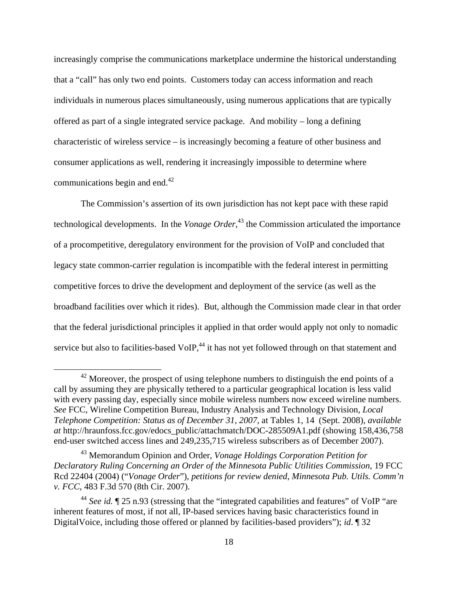increasingly comprise the communications marketplace undermine the historical understanding that a "call" has only two end points. Customers today can access information and reach individuals in numerous places simultaneously, using numerous applications that are typically offered as part of a single integrated service package. And mobility – long a defining characteristic of wireless service – is increasingly becoming a feature of other business and consumer applications as well, rendering it increasingly impossible to determine where communications begin and end.<sup>42</sup>

The Commission's assertion of its own jurisdiction has not kept pace with these rapid technological developments. In the *Vonage Order*, 43 the Commission articulated the importance of a procompetitive, deregulatory environment for the provision of VoIP and concluded that legacy state common-carrier regulation is incompatible with the federal interest in permitting competitive forces to drive the development and deployment of the service (as well as the broadband facilities over which it rides). But, although the Commission made clear in that order that the federal jurisdictional principles it applied in that order would apply not only to nomadic service but also to facilities-based VoIP, $44$  it has not yet followed through on that statement and

 $42$  Moreover, the prospect of using telephone numbers to distinguish the end points of a call by assuming they are physically tethered to a particular geographical location is less valid with every passing day, especially since mobile wireless numbers now exceed wireline numbers. *See* FCC, Wireline Competition Bureau, Industry Analysis and Technology Division, *Local Telephone Competition: Status as of December 31, 2007*, at Tables 1, 14 (Sept. 2008), *available at* http://hraunfoss.fcc.gov/edocs\_public/attachmatch/DOC-285509A1.pdf (showing 158,436,758 end-user switched access lines and 249,235,715 wireless subscribers as of December 2007).

<sup>43</sup> Memorandum Opinion and Order, *Vonage Holdings Corporation Petition for Declaratory Ruling Concerning an Order of the Minnesota Public Utilities Commission*, 19 FCC Rcd 22404 (2004) ("*Vonage Order*"), *petitions for review denied*, *Minnesota Pub. Utils. Comm'n v. FCC*, 483 F.3d 570 (8th Cir. 2007).

<sup>&</sup>lt;sup>44</sup> See id. ¶ 25 n.93 (stressing that the "integrated capabilities and features" of VoIP "are inherent features of most, if not all, IP-based services having basic characteristics found in DigitalVoice, including those offered or planned by facilities-based providers"); *id*. ¶ 32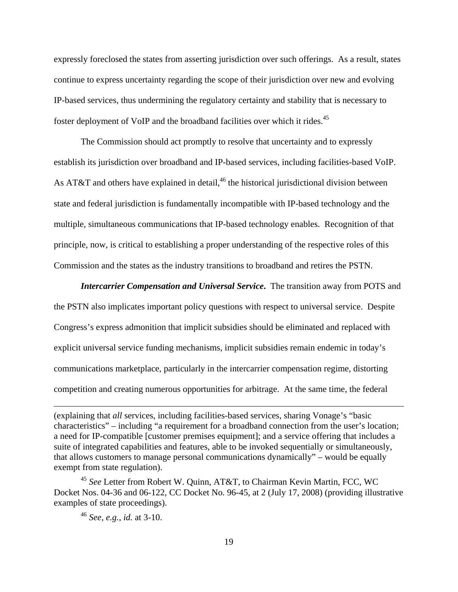expressly foreclosed the states from asserting jurisdiction over such offerings. As a result, states continue to express uncertainty regarding the scope of their jurisdiction over new and evolving IP-based services, thus undermining the regulatory certainty and stability that is necessary to foster deployment of VoIP and the broadband facilities over which it rides.45

The Commission should act promptly to resolve that uncertainty and to expressly establish its jurisdiction over broadband and IP-based services, including facilities-based VoIP. As AT&T and others have explained in detail,<sup>46</sup> the historical jurisdictional division between state and federal jurisdiction is fundamentally incompatible with IP-based technology and the multiple, simultaneous communications that IP-based technology enables. Recognition of that principle, now, is critical to establishing a proper understanding of the respective roles of this Commission and the states as the industry transitions to broadband and retires the PSTN.

*Intercarrier Compensation and Universal Service***.** The transition away from POTS and the PSTN also implicates important policy questions with respect to universal service. Despite Congress's express admonition that implicit subsidies should be eliminated and replaced with explicit universal service funding mechanisms, implicit subsidies remain endemic in today's communications marketplace, particularly in the intercarrier compensation regime, distorting competition and creating numerous opportunities for arbitrage. At the same time, the federal

<u> 1989 - Johann Stein, marwolaethau a gweledydd a ganlad y ganlad y ganlad y ganlad y ganlad y ganlad y ganlad</u>

<sup>(</sup>explaining that *all* services, including facilities-based services, sharing Vonage's "basic characteristics" – including "a requirement for a broadband connection from the user's location; a need for IP-compatible [customer premises equipment]; and a service offering that includes a suite of integrated capabilities and features, able to be invoked sequentially or simultaneously, that allows customers to manage personal communications dynamically" – would be equally exempt from state regulation).

<sup>45</sup> *See* Letter from Robert W. Quinn, AT&T, to Chairman Kevin Martin, FCC, WC Docket Nos. 04-36 and 06-122, CC Docket No. 96-45, at 2 (July 17, 2008) (providing illustrative examples of state proceedings).

<sup>46</sup> *See*, *e.g.*, *id.* at 3-10.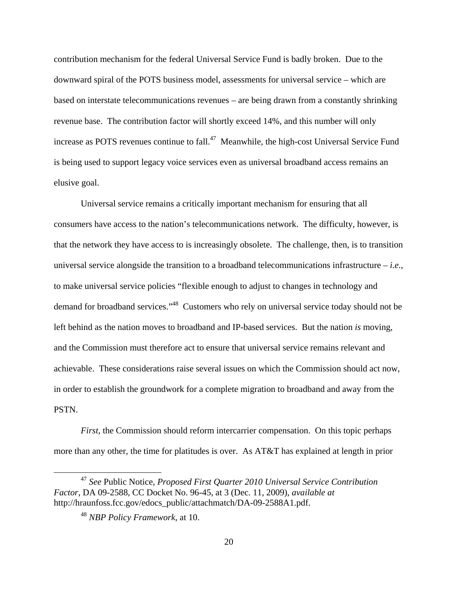contribution mechanism for the federal Universal Service Fund is badly broken. Due to the downward spiral of the POTS business model, assessments for universal service – which are based on interstate telecommunications revenues – are being drawn from a constantly shrinking revenue base. The contribution factor will shortly exceed 14%, and this number will only increase as POTS revenues continue to fall.<sup>47</sup> Meanwhile, the high-cost Universal Service Fund is being used to support legacy voice services even as universal broadband access remains an elusive goal.

Universal service remains a critically important mechanism for ensuring that all consumers have access to the nation's telecommunications network. The difficulty, however, is that the network they have access to is increasingly obsolete. The challenge, then, is to transition universal service alongside the transition to a broadband telecommunications infrastructure – *i.e.*, to make universal service policies "flexible enough to adjust to changes in technology and demand for broadband services."48 Customers who rely on universal service today should not be left behind as the nation moves to broadband and IP-based services. But the nation *is* moving, and the Commission must therefore act to ensure that universal service remains relevant and achievable. These considerations raise several issues on which the Commission should act now, in order to establish the groundwork for a complete migration to broadband and away from the PSTN.

*First*, the Commission should reform intercarrier compensation. On this topic perhaps more than any other, the time for platitudes is over. As AT&T has explained at length in prior

 <sup>47</sup> *See* Public Notice, *Proposed First Quarter 2010 Universal Service Contribution Factor*, DA 09-2588, CC Docket No. 96-45, at 3 (Dec. 11, 2009), *available at* http://hraunfoss.fcc.gov/edocs\_public/attachmatch/DA-09-2588A1.pdf.

<sup>48</sup> *NBP Policy Framework*, at 10.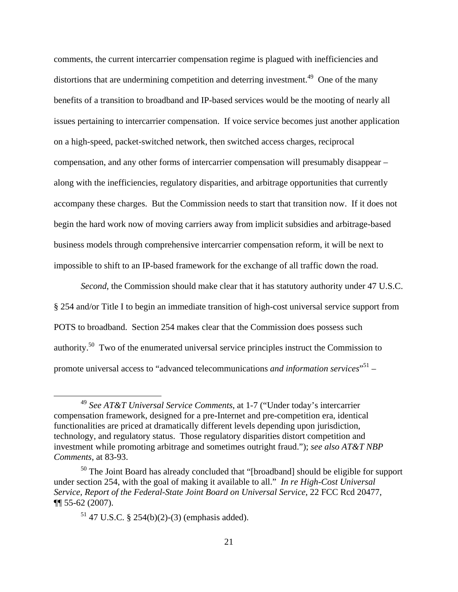comments, the current intercarrier compensation regime is plagued with inefficiencies and distortions that are undermining competition and deterring investment.<sup>49</sup> One of the many benefits of a transition to broadband and IP-based services would be the mooting of nearly all issues pertaining to intercarrier compensation. If voice service becomes just another application on a high-speed, packet-switched network, then switched access charges, reciprocal compensation, and any other forms of intercarrier compensation will presumably disappear – along with the inefficiencies, regulatory disparities, and arbitrage opportunities that currently accompany these charges. But the Commission needs to start that transition now. If it does not begin the hard work now of moving carriers away from implicit subsidies and arbitrage-based business models through comprehensive intercarrier compensation reform, it will be next to impossible to shift to an IP-based framework for the exchange of all traffic down the road.

*Second*, the Commission should make clear that it has statutory authority under 47 U.S.C. § 254 and/or Title I to begin an immediate transition of high-cost universal service support from POTS to broadband. Section 254 makes clear that the Commission does possess such authority.50 Two of the enumerated universal service principles instruct the Commission to promote universal access to "advanced telecommunications *and information services*" 51 –

 <sup>49</sup> *See AT&T Universal Service Comments*, at 1-7 ("Under today's intercarrier compensation framework, designed for a pre-Internet and pre-competition era, identical functionalities are priced at dramatically different levels depending upon jurisdiction, technology, and regulatory status. Those regulatory disparities distort competition and investment while promoting arbitrage and sometimes outright fraud."); *see also AT&T NBP Comments*, at 83-93.

<sup>50</sup> The Joint Board has already concluded that "[broadband] should be eligible for support under section 254, with the goal of making it available to all." *In re High-Cost Universal Service, Report of the Federal-State Joint Board on Universal Service*, 22 FCC Rcd 20477, ¶¶ 55-62 (2007).

 $51$  47 U.S.C. § 254(b)(2)-(3) (emphasis added).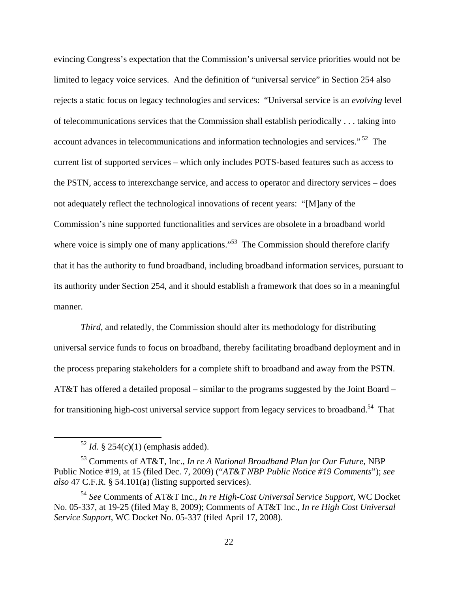evincing Congress's expectation that the Commission's universal service priorities would not be limited to legacy voice services. And the definition of "universal service" in Section 254 also rejects a static focus on legacy technologies and services: "Universal service is an *evolving* level of telecommunications services that the Commission shall establish periodically . . . taking into account advances in telecommunications and information technologies and services." 52 The current list of supported services – which only includes POTS-based features such as access to the PSTN, access to interexchange service, and access to operator and directory services – does not adequately reflect the technological innovations of recent years: "[M]any of the Commission's nine supported functionalities and services are obsolete in a broadband world where voice is simply one of many applications."<sup>53</sup> The Commission should therefore clarify that it has the authority to fund broadband, including broadband information services, pursuant to its authority under Section 254, and it should establish a framework that does so in a meaningful manner.

*Third*, and relatedly, the Commission should alter its methodology for distributing universal service funds to focus on broadband, thereby facilitating broadband deployment and in the process preparing stakeholders for a complete shift to broadband and away from the PSTN. AT&T has offered a detailed proposal – similar to the programs suggested by the Joint Board – for transitioning high-cost universal service support from legacy services to broadband.<sup>54</sup> That

 $52$  *Id.* § 254(c)(1) (emphasis added).

<sup>53</sup> Comments of AT&T, Inc., *In re A National Broadband Plan for Our Future*, NBP Public Notice #19, at 15 (filed Dec. 7, 2009) ("*AT&T NBP Public Notice #19 Comments*"); *see also* 47 C.F.R. § 54.101(a) (listing supported services).

<sup>54</sup> *See* Comments of AT&T Inc., *In re High-Cost Universal Service Support*, WC Docket No. 05-337, at 19-25 (filed May 8, 2009); Comments of AT&T Inc., *In re High Cost Universal Service Support*, WC Docket No. 05-337 (filed April 17, 2008).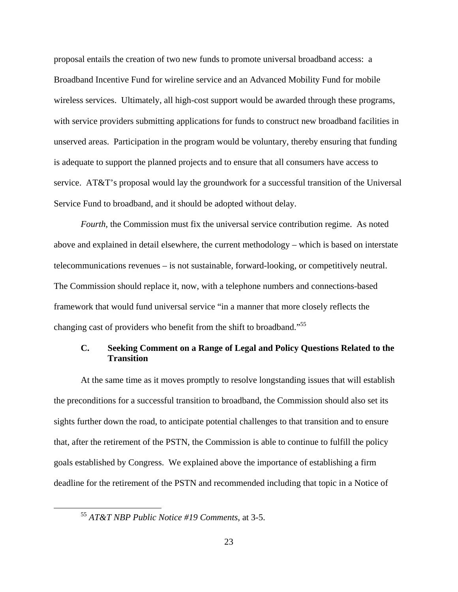proposal entails the creation of two new funds to promote universal broadband access: a Broadband Incentive Fund for wireline service and an Advanced Mobility Fund for mobile wireless services. Ultimately, all high-cost support would be awarded through these programs, with service providers submitting applications for funds to construct new broadband facilities in unserved areas. Participation in the program would be voluntary, thereby ensuring that funding is adequate to support the planned projects and to ensure that all consumers have access to service.AT&T's proposal would lay the groundwork for a successful transition of the Universal Service Fund to broadband, and it should be adopted without delay.

*Fourth,* the Commission must fix the universal service contribution regime. As noted above and explained in detail elsewhere, the current methodology – which is based on interstate telecommunications revenues – is not sustainable, forward-looking, or competitively neutral. The Commission should replace it, now, with a telephone numbers and connections-based framework that would fund universal service "in a manner that more closely reflects the changing cast of providers who benefit from the shift to broadband."<sup>55</sup>

### **C. Seeking Comment on a Range of Legal and Policy Questions Related to the Transition**

At the same time as it moves promptly to resolve longstanding issues that will establish the preconditions for a successful transition to broadband, the Commission should also set its sights further down the road, to anticipate potential challenges to that transition and to ensure that, after the retirement of the PSTN, the Commission is able to continue to fulfill the policy goals established by Congress. We explained above the importance of establishing a firm deadline for the retirement of the PSTN and recommended including that topic in a Notice of

 <sup>55</sup> *AT&T NBP Public Notice #19 Comments*, at 3-5.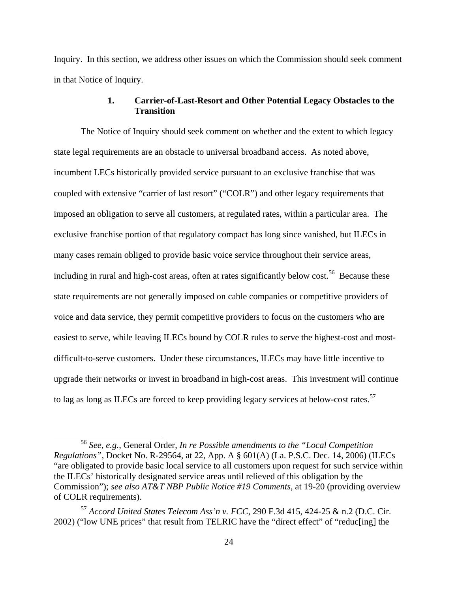Inquiry. In this section, we address other issues on which the Commission should seek comment in that Notice of Inquiry.

### **1. Carrier-of-Last-Resort and Other Potential Legacy Obstacles to the Transition**

The Notice of Inquiry should seek comment on whether and the extent to which legacy state legal requirements are an obstacle to universal broadband access. As noted above, incumbent LECs historically provided service pursuant to an exclusive franchise that was coupled with extensive "carrier of last resort" ("COLR") and other legacy requirements that imposed an obligation to serve all customers, at regulated rates, within a particular area. The exclusive franchise portion of that regulatory compact has long since vanished, but ILECs in many cases remain obliged to provide basic voice service throughout their service areas, including in rural and high-cost areas, often at rates significantly below cost.<sup>56</sup> Because these state requirements are not generally imposed on cable companies or competitive providers of voice and data service, they permit competitive providers to focus on the customers who are easiest to serve, while leaving ILECs bound by COLR rules to serve the highest-cost and mostdifficult-to-serve customers. Under these circumstances, ILECs may have little incentive to upgrade their networks or invest in broadband in high-cost areas. This investment will continue to lag as long as ILECs are forced to keep providing legacy services at below-cost rates.<sup>57</sup>

 <sup>56</sup> *See, e.g.*, General Order, *In re Possible amendments to the "Local Competition Regulations"*, Docket No. R-29564, at 22, App. A § 601(A) (La. P.S.C. Dec. 14, 2006) (ILECs "are obligated to provide basic local service to all customers upon request for such service within the ILECs' historically designated service areas until relieved of this obligation by the Commission"); *see also AT&T NBP Public Notice #19 Comments*, at 19-20 (providing overview of COLR requirements).

<sup>57</sup> *Accord United States Telecom Ass'n v. FCC*, 290 F.3d 415, 424-25 & n.2 (D.C. Cir. 2002) ("low UNE prices" that result from TELRIC have the "direct effect" of "reduc[ing] the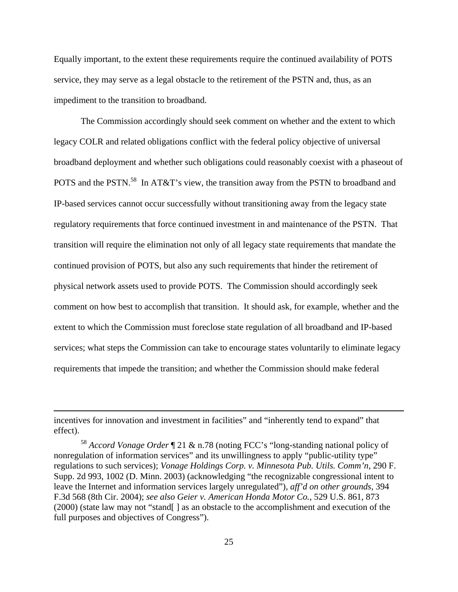Equally important, to the extent these requirements require the continued availability of POTS service, they may serve as a legal obstacle to the retirement of the PSTN and, thus, as an impediment to the transition to broadband.

The Commission accordingly should seek comment on whether and the extent to which legacy COLR and related obligations conflict with the federal policy objective of universal broadband deployment and whether such obligations could reasonably coexist with a phaseout of POTS and the PSTN.<sup>58</sup> In AT&T's view, the transition away from the PSTN to broadband and IP-based services cannot occur successfully without transitioning away from the legacy state regulatory requirements that force continued investment in and maintenance of the PSTN. That transition will require the elimination not only of all legacy state requirements that mandate the continued provision of POTS, but also any such requirements that hinder the retirement of physical network assets used to provide POTS. The Commission should accordingly seek comment on how best to accomplish that transition. It should ask, for example, whether and the extent to which the Commission must foreclose state regulation of all broadband and IP-based services; what steps the Commission can take to encourage states voluntarily to eliminate legacy requirements that impede the transition; and whether the Commission should make federal

<u> 1989 - Johann Stein, marwolaethau a gweledydd a ganlad y ganlad y ganlad y ganlad y ganlad y ganlad y ganlad</u>

incentives for innovation and investment in facilities" and "inherently tend to expand" that effect).

<sup>58</sup> *Accord Vonage Order* ¶ 21 & n.78 (noting FCC's "long-standing national policy of nonregulation of information services" and its unwillingness to apply "public-utility type" regulations to such services); *Vonage Holdings Corp. v. Minnesota Pub. Utils. Comm'n*, 290 F. Supp. 2d 993, 1002 (D. Minn. 2003) (acknowledging "the recognizable congressional intent to leave the Internet and information services largely unregulated"), *aff'd on other grounds*, 394 F.3d 568 (8th Cir. 2004); *see also Geier v. American Honda Motor Co.*, 529 U.S. 861, 873 (2000) (state law may not "stand[ ] as an obstacle to the accomplishment and execution of the full purposes and objectives of Congress").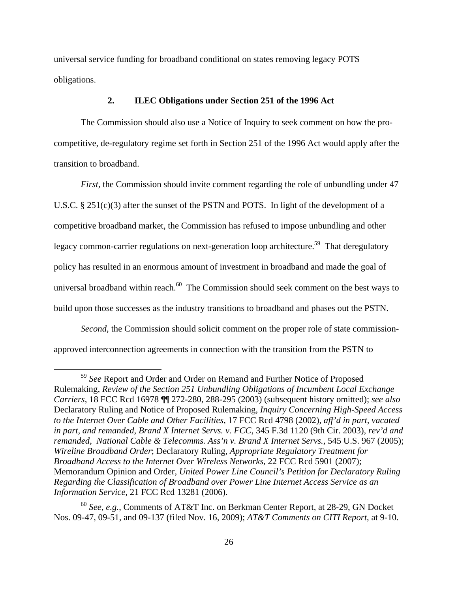universal service funding for broadband conditional on states removing legacy POTS obligations.

#### **2. ILEC Obligations under Section 251 of the 1996 Act**

The Commission should also use a Notice of Inquiry to seek comment on how the procompetitive, de-regulatory regime set forth in Section 251 of the 1996 Act would apply after the transition to broadband.

*First*, the Commission should invite comment regarding the role of unbundling under 47 U.S.C. § 251(c)(3) after the sunset of the PSTN and POTS. In light of the development of a competitive broadband market, the Commission has refused to impose unbundling and other legacy common-carrier regulations on next-generation loop architecture.<sup>59</sup> That deregulatory policy has resulted in an enormous amount of investment in broadband and made the goal of universal broadband within reach.<sup>60</sup> The Commission should seek comment on the best ways to build upon those successes as the industry transitions to broadband and phases out the PSTN.

*Second*, the Commission should solicit comment on the proper role of state commissionapproved interconnection agreements in connection with the transition from the PSTN to

 <sup>59</sup> *See* Report and Order and Order on Remand and Further Notice of Proposed Rulemaking, *Review of the Section 251 Unbundling Obligations of Incumbent Local Exchange Carriers*, 18 FCC Rcd 16978 ¶¶ 272-280, 288-295 (2003) (subsequent history omitted); *see also*  Declaratory Ruling and Notice of Proposed Rulemaking, *Inquiry Concerning High-Speed Access to the Internet Over Cable and Other Facilities*, 17 FCC Rcd 4798 (2002), *aff'd in part, vacated in part, and remanded*, *Brand X Internet Servs. v. FCC*, 345 F.3d 1120 (9th Cir. 2003), *rev'd and remanded*, *National Cable & Telecomms. Ass'n v. Brand X Internet Servs.*, 545 U.S. 967 (2005); *Wireline Broadband Order*; Declaratory Ruling, *Appropriate Regulatory Treatment for Broadband Access to the Internet Over Wireless Networks*, 22 FCC Rcd 5901 (2007); Memorandum Opinion and Order, *United Power Line Council's Petition for Declaratory Ruling Regarding the Classification of Broadband over Power Line Internet Access Service as an Information Service*, 21 FCC Rcd 13281 (2006).

<sup>60</sup> *See*, *e.g.*, Comments of AT&T Inc. on Berkman Center Report, at 28-29, GN Docket Nos. 09-47, 09-51, and 09-137 (filed Nov. 16, 2009); *AT&T Comments on CITI Report*, at 9-10.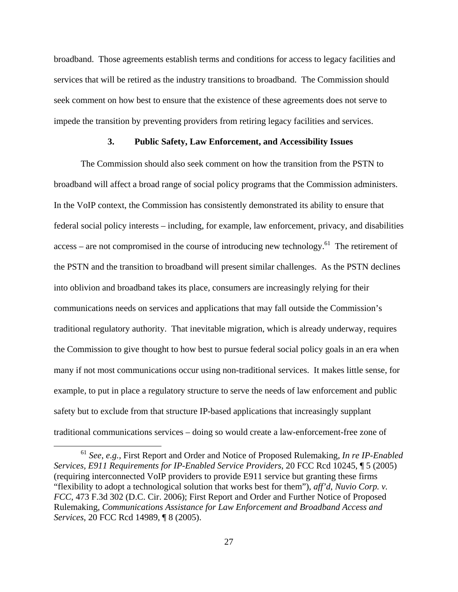broadband. Those agreements establish terms and conditions for access to legacy facilities and services that will be retired as the industry transitions to broadband. The Commission should seek comment on how best to ensure that the existence of these agreements does not serve to impede the transition by preventing providers from retiring legacy facilities and services.

#### **3. Public Safety, Law Enforcement, and Accessibility Issues**

The Commission should also seek comment on how the transition from the PSTN to broadband will affect a broad range of social policy programs that the Commission administers. In the VoIP context, the Commission has consistently demonstrated its ability to ensure that federal social policy interests – including, for example, law enforcement, privacy, and disabilities  $access - are not compromised in the course of introducing new technology.<sup>61</sup> The retirement of$ the PSTN and the transition to broadband will present similar challenges. As the PSTN declines into oblivion and broadband takes its place, consumers are increasingly relying for their communications needs on services and applications that may fall outside the Commission's traditional regulatory authority. That inevitable migration, which is already underway, requires the Commission to give thought to how best to pursue federal social policy goals in an era when many if not most communications occur using non-traditional services. It makes little sense, for example, to put in place a regulatory structure to serve the needs of law enforcement and public safety but to exclude from that structure IP-based applications that increasingly supplant traditional communications services – doing so would create a law-enforcement-free zone of

 <sup>61</sup> *See*, *e.g.*, First Report and Order and Notice of Proposed Rulemaking, *In re IP-Enabled Services, E911 Requirements for IP-Enabled Service Providers*, 20 FCC Rcd 10245, ¶ 5 (2005) (requiring interconnected VoIP providers to provide E911 service but granting these firms "flexibility to adopt a technological solution that works best for them"), *aff'd*, *Nuvio Corp. v. FCC*, 473 F.3d 302 (D.C. Cir. 2006); First Report and Order and Further Notice of Proposed Rulemaking, *Communications Assistance for Law Enforcement and Broadband Access and Services*, 20 FCC Rcd 14989, ¶ 8 (2005).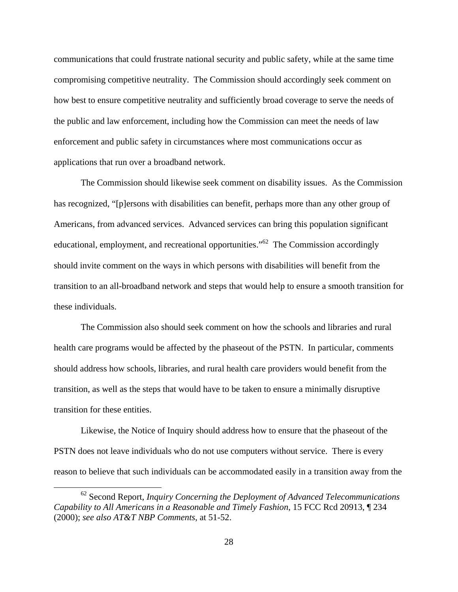communications that could frustrate national security and public safety, while at the same time compromising competitive neutrality. The Commission should accordingly seek comment on how best to ensure competitive neutrality and sufficiently broad coverage to serve the needs of the public and law enforcement, including how the Commission can meet the needs of law enforcement and public safety in circumstances where most communications occur as applications that run over a broadband network.

The Commission should likewise seek comment on disability issues. As the Commission has recognized, "[p]ersons with disabilities can benefit, perhaps more than any other group of Americans, from advanced services. Advanced services can bring this population significant educational, employment, and recreational opportunities.<sup> $162$ </sup> The Commission accordingly should invite comment on the ways in which persons with disabilities will benefit from the transition to an all-broadband network and steps that would help to ensure a smooth transition for these individuals.

The Commission also should seek comment on how the schools and libraries and rural health care programs would be affected by the phaseout of the PSTN. In particular, comments should address how schools, libraries, and rural health care providers would benefit from the transition, as well as the steps that would have to be taken to ensure a minimally disruptive transition for these entities.

Likewise, the Notice of Inquiry should address how to ensure that the phaseout of the PSTN does not leave individuals who do not use computers without service. There is every reason to believe that such individuals can be accommodated easily in a transition away from the

 62 Second Report, *Inquiry Concerning the Deployment of Advanced Telecommunications Capability to All Americans in a Reasonable and Timely Fashion*, 15 FCC Rcd 20913, ¶ 234 (2000); *see also AT&T NBP Comments*, at 51-52.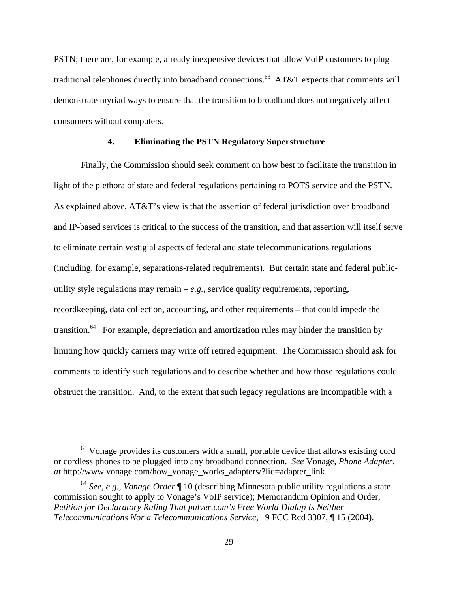PSTN; there are, for example, already inexpensive devices that allow VoIP customers to plug traditional telephones directly into broadband connections.<sup>63</sup> AT&T expects that comments will demonstrate myriad ways to ensure that the transition to broadband does not negatively affect consumers without computers.

#### **4. Eliminating the PSTN Regulatory Superstructure**

Finally, the Commission should seek comment on how best to facilitate the transition in light of the plethora of state and federal regulations pertaining to POTS service and the PSTN. As explained above, AT&T's view is that the assertion of federal jurisdiction over broadband and IP-based services is critical to the success of the transition, and that assertion will itself serve to eliminate certain vestigial aspects of federal and state telecommunications regulations (including, for example, separations-related requirements). But certain state and federal publicutility style regulations may remain  $-e.g.,$  service quality requirements, reporting, recordkeeping, data collection, accounting, and other requirements – that could impede the transition. $64$  For example, depreciation and amortization rules may hinder the transition by limiting how quickly carriers may write off retired equipment. The Commission should ask for comments to identify such regulations and to describe whether and how those regulations could obstruct the transition. And, to the extent that such legacy regulations are incompatible with a

 $63$  Vonage provides its customers with a small, portable device that allows existing cord or cordless phones to be plugged into any broadband connection. *See* Vonage, *Phone Adapter*, *at* http://www.vonage.com/how\_vonage\_works\_adapters/?lid=adapter\_link.

<sup>64</sup> *See, e.g.*, *Vonage Order* ¶ 10 (describing Minnesota public utility regulations a state commission sought to apply to Vonage's VoIP service); Memorandum Opinion and Order, *Petition for Declaratory Ruling That pulver.com's Free World Dialup Is Neither Telecommunications Nor a Telecommunications Service*, 19 FCC Rcd 3307, ¶ 15 (2004).